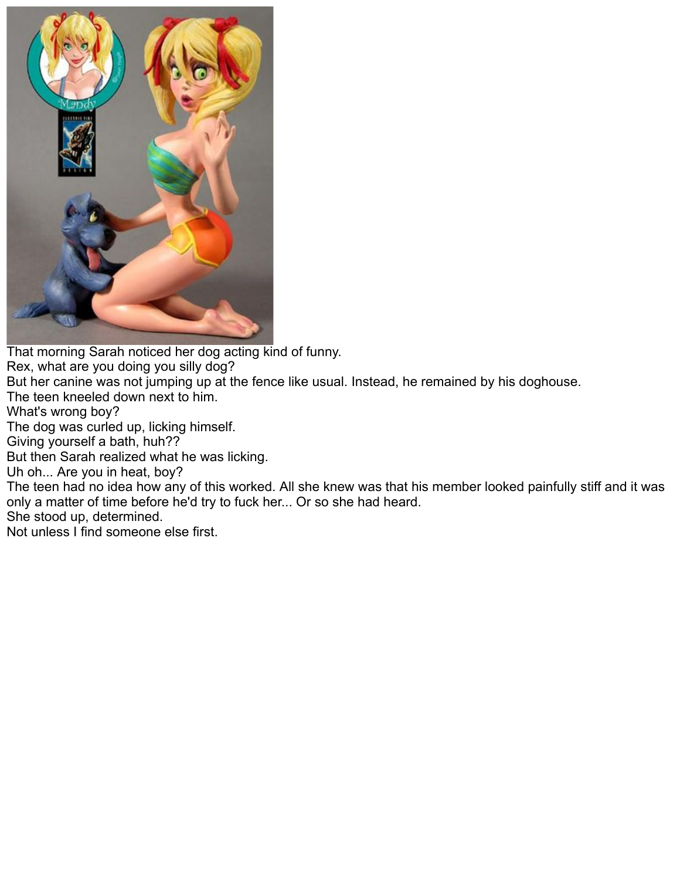

That morning Sarah noticed her dog acting kind of funny.

Rex, what are you doing you silly dog?

But her canine was not jumping up at the fence like usual. Instead, he remained by his doghouse.

The teen kneeled down next to him.

What's wrong boy?

The dog was curled up, licking himself.

Giving yourself a bath, huh??

But then Sarah realized what he was licking.

Uh oh... Are you in heat, boy?

The teen had no idea how any of this worked. All she knew was that his member looked painfully stiff and it was only a matter of time before he'd try to fuck her... Or so she had heard.

She stood up, determined.

Not unless I find someone else first.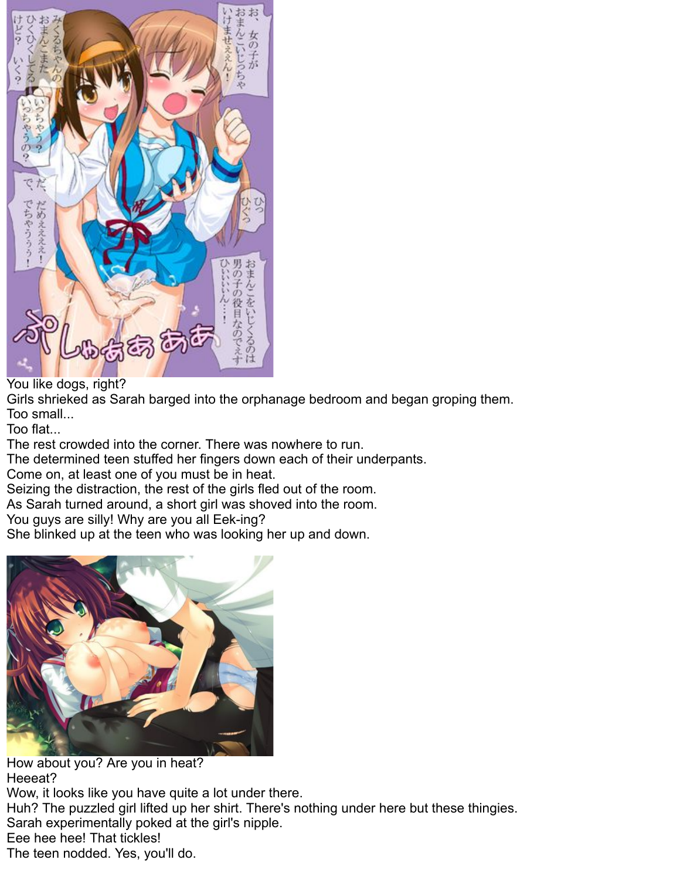

## You like dogs, right?

Girls shrieked as Sarah barged into the orphanage bedroom and began groping them. Too small...

Too flat...

The rest crowded into the corner. There was nowhere to run.

The determined teen stuffed her fingers down each of their underpants.

Come on, at least one of you must be in heat.

Seizing the distraction, the rest of the girls fled out of the room.

As Sarah turned around, a short girl was shoved into the room.

You guys are silly! Why are you all Eek-ing?

She blinked up at the teen who was looking her up and down.



How about you? Are you in heat? Heeeat? Wow, it looks like you have quite a lot under there. Huh? The puzzled girl lifted up her shirt. There's nothing under here but these thingies. Sarah experimentally poked at the girl's nipple. Eee hee hee! That tickles! The teen nodded. Yes, you'll do.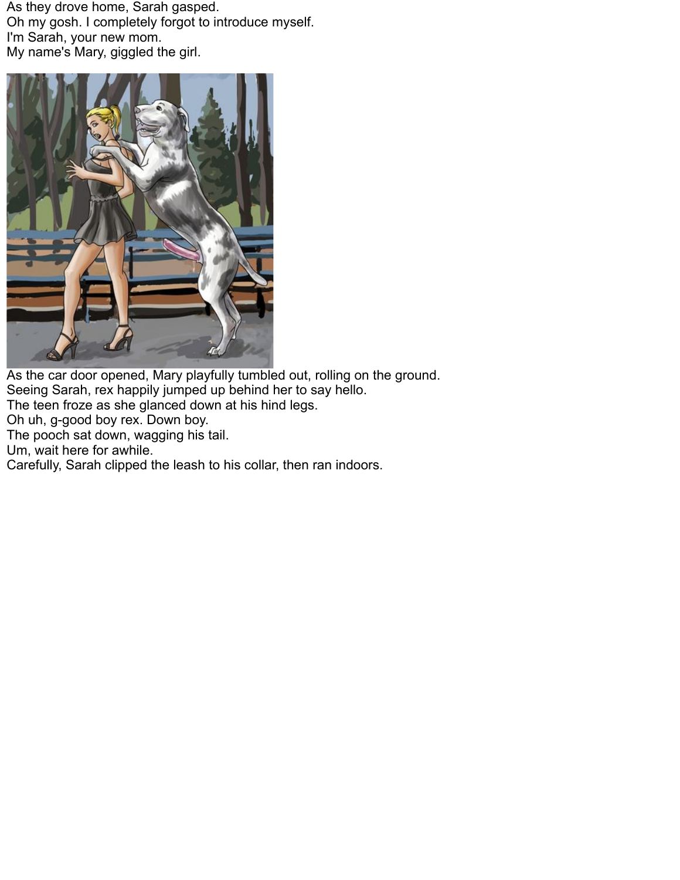As they drove home, Sarah gasped. Oh my gosh. I completely forgot to introduce myself. I'm Sarah, your new mom. My name's Mary, giggled the girl.



As the car door opened, Mary playfully tumbled out, rolling on the ground. Seeing Sarah, rex happily jumped up behind her to say hello.

The teen froze as she glanced down at his hind legs.

Oh uh, g-good boy rex. Down boy.

The pooch sat down, wagging his tail.

Um, wait here for awhile.

Carefully, Sarah clipped the leash to his collar, then ran indoors.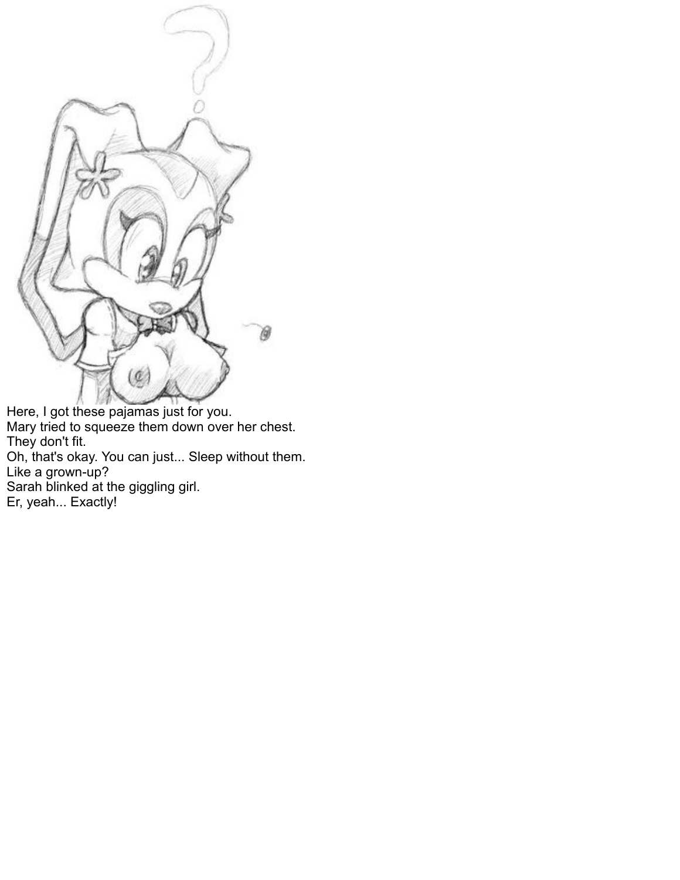

Here, I got these pajamas just for you. Mary tried to squeeze them down over her chest. They don't fit.

Oh, that's okay. You can just... Sleep without them. Like a grown-up?

Sarah blinked at the giggling girl.

Er, yeah... Exactly!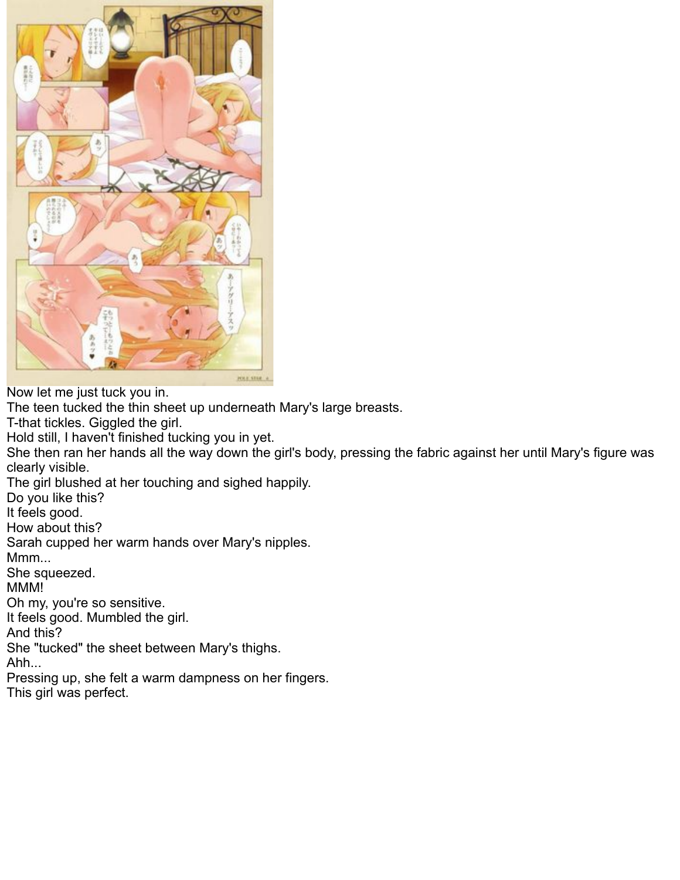

Now let me just tuck you in.

The teen tucked the thin sheet up underneath Mary's large breasts.

T-that tickles. Giggled the girl.

Hold still, I haven't finished tucking you in yet.

She then ran her hands all the way down the girl's body, pressing the fabric against her until Mary's figure was clearly visible.

The girl blushed at her touching and sighed happily.

Do you like this?

It feels good.

How about this?

Sarah cupped her warm hands over Mary's nipples.

Mmm...

She squeezed.

MMM!

Oh my, you're so sensitive.

It feels good. Mumbled the girl.

And this?

She "tucked" the sheet between Mary's thighs.

Ahh...

Pressing up, she felt a warm dampness on her fingers.

This girl was perfect.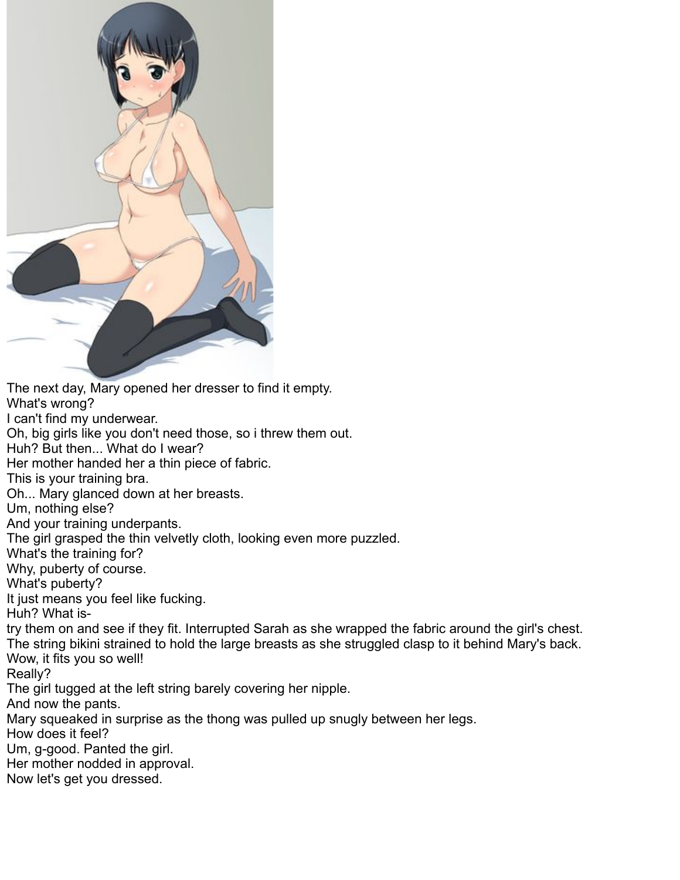

The next day, Mary opened her dresser to find it empty. What's wrong? I can't find my underwear. Oh, big girls like you don't need those, so i threw them out. Huh? But then... What do I wear? Her mother handed her a thin piece of fabric. This is your training bra. Oh... Mary glanced down at her breasts. Um, nothing else? And your training underpants. The girl grasped the thin velvetly cloth, looking even more puzzled. What's the training for? Why, puberty of course. What's puberty? It just means you feel like fucking. Huh? What istry them on and see if they fit. Interrupted Sarah as she wrapped the fabric around the girl's chest. The string bikini strained to hold the large breasts as she struggled clasp to it behind Mary's back. Wow, it fits you so well! Really? The girl tugged at the left string barely covering her nipple. And now the pants. Mary squeaked in surprise as the thong was pulled up snugly between her legs. How does it feel? Um, g-good. Panted the girl. Her mother nodded in approval. Now let's get you dressed.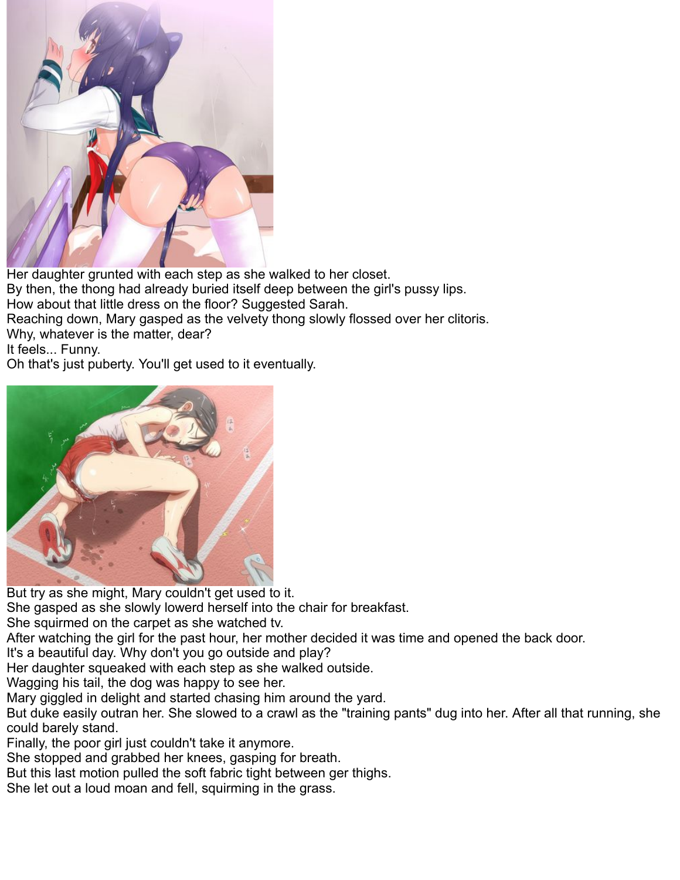

Her daughter grunted with each step as she walked to her closet. By then, the thong had already buried itself deep between the girl's pussy lips. How about that little dress on the floor? Suggested Sarah. Reaching down, Mary gasped as the velvety thong slowly flossed over her clitoris. Why, whatever is the matter, dear?

It feels... Funny.

Oh that's just puberty. You'll get used to it eventually.



But try as she might, Mary couldn't get used to it. She gasped as she slowly lowerd herself into the chair for breakfast. She squirmed on the carpet as she watched tv. After watching the girl for the past hour, her mother decided it was time and opened the back door. It's a beautiful day. Why don't you go outside and play? Her daughter squeaked with each step as she walked outside. Wagging his tail, the dog was happy to see her. Mary giggled in delight and started chasing him around the yard. But duke easily outran her. She slowed to a crawl as the "training pants" dug into her. After all that running, she could barely stand. Finally, the poor girl just couldn't take it anymore. She stopped and grabbed her knees, gasping for breath. But this last motion pulled the soft fabric tight between ger thighs.

She let out a loud moan and fell, squirming in the grass.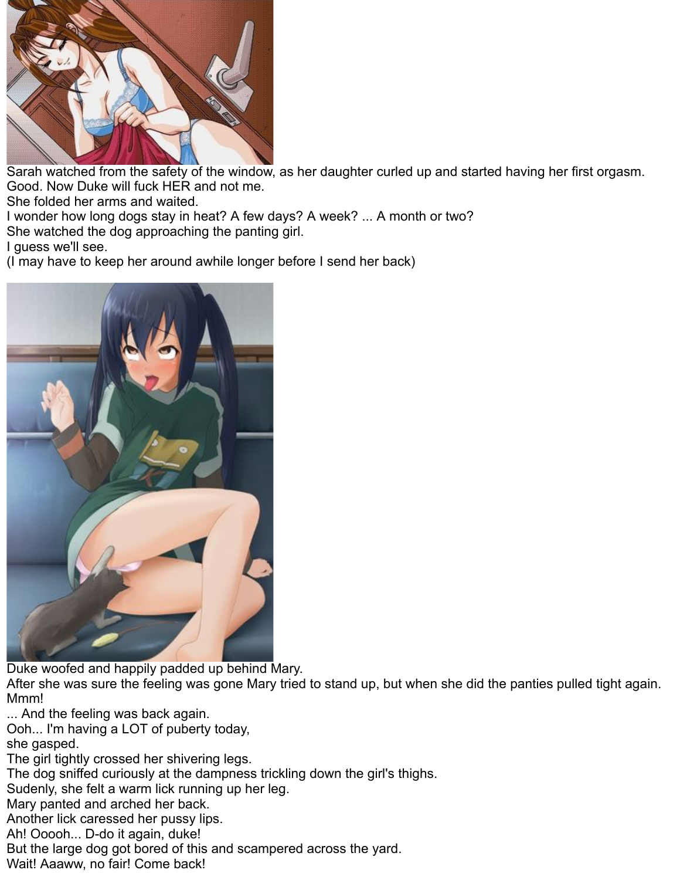

Sarah watched from the safety of the window, as her daughter curled up and started having her first orgasm. Good. Now Duke will fuck HER and not me.

She folded her arms and waited.

I wonder how long dogs stay in heat? A few days? A week? ... A month or two?

She watched the dog approaching the panting girl.

I guess we'll see.

(I may have to keep her around awhile longer before I send her back)



Duke woofed and happily padded up behind Mary.

After she was sure the feeling was gone Mary tried to stand up, but when she did the panties pulled tight again. Mmm!

... And the feeling was back again.

Ooh... I'm having a LOT of puberty today,

she gasped.

The girl tightly crossed her shivering legs.

The dog sniffed curiously at the dampness trickling down the girl's thighs.

Sudenly, she felt a warm lick running up her leg.

Mary panted and arched her back.

Another lick caressed her pussy lips.

Ah! Ooooh... D-do it again, duke!

But the large dog got bored of this and scampered across the yard.

Wait! Aaaww, no fair! Come back!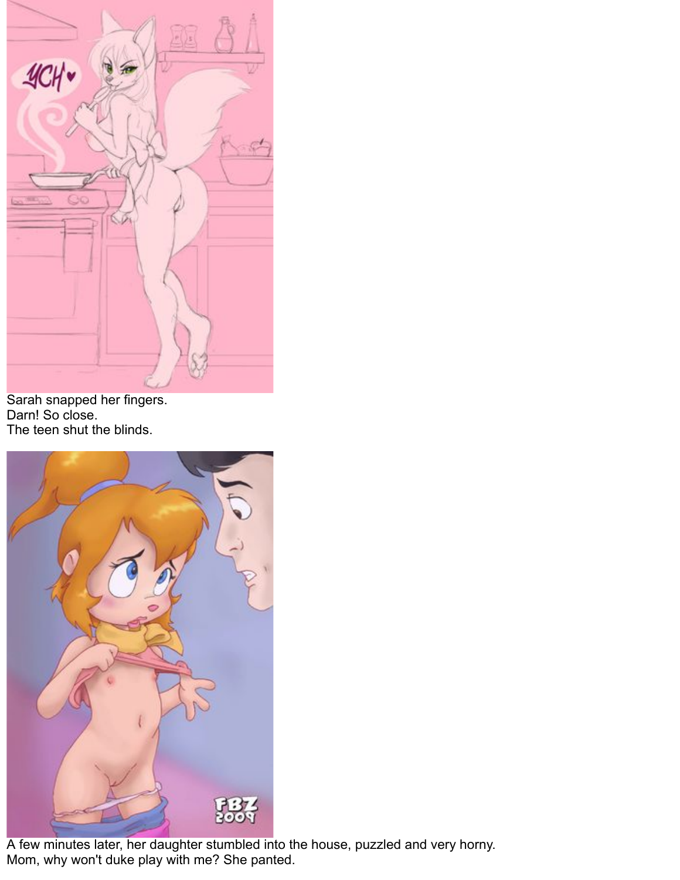

Sarah snapped her fingers. Darn! So close. The teen shut the blinds.



A few minutes later, her daughter stumbled into the house, puzzled and very horny. Mom, why won't duke play with me? She panted.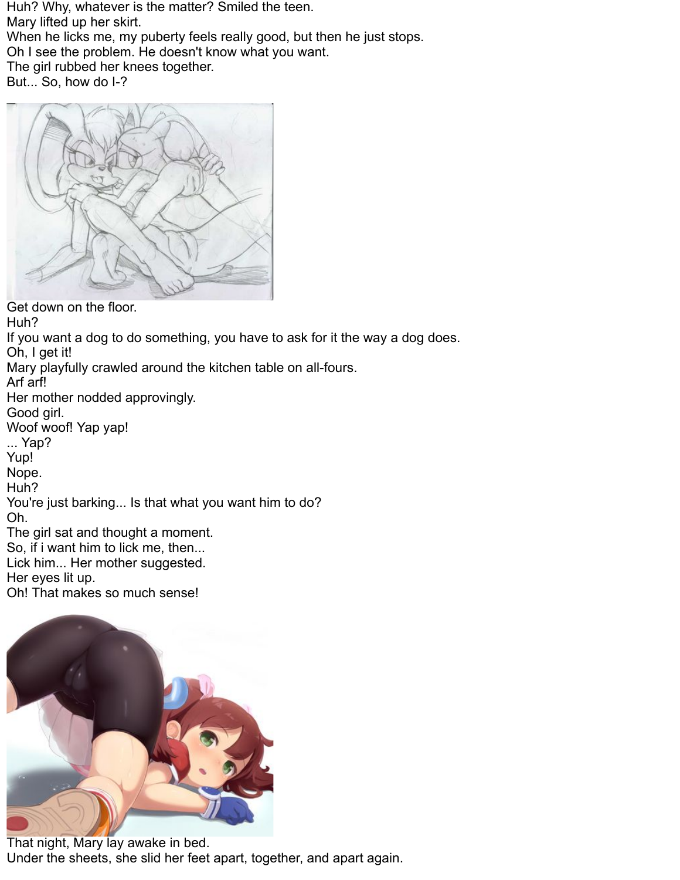Huh? Why, whatever is the matter? Smiled the teen. Mary lifted up her skirt. When he licks me, my puberty feels really good, but then he just stops. Oh I see the problem. He doesn't know what you want. The girl rubbed her knees together. But... So, how do I-?



Get down on the floor. Huh? If you want a dog to do something, you have to ask for it the way a dog does. Oh, I get it! Mary playfully crawled around the kitchen table on all-fours. Arf arf! Her mother nodded approvingly. Good girl. Woof woof! Yap yap! ... Yap? Yup! Nope. Huh? You're just barking... Is that what you want him to do? Oh. The girl sat and thought a moment. So, if i want him to lick me, then... Lick him... Her mother suggested. Her eyes lit up. Oh! That makes so much sense!



That night, Mary lay awake in bed. Under the sheets, she slid her feet apart, together, and apart again.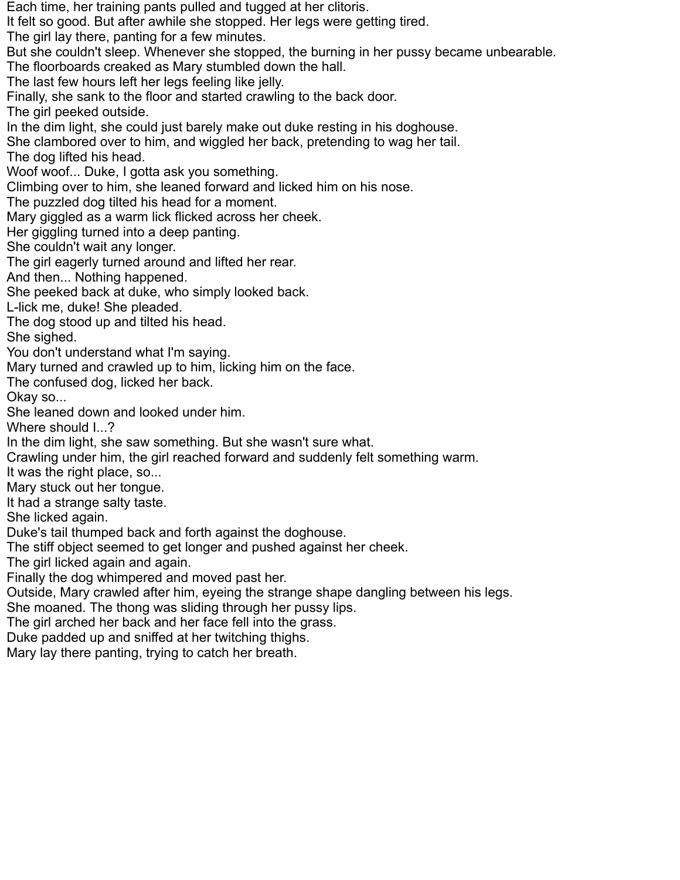Each time, her training pants pulled and tugged at her clitoris.

It felt so good. But after awhile she stopped. Her legs were getting tired.

The girl lay there, panting for a few minutes.

But she couldn't sleep. Whenever she stopped, the burning in her pussy became unbearable.

The floorboards creaked as Mary stumbled down the hall.

The last few hours left her legs feeling like jelly.

Finally, she sank to the floor and started crawling to the back door.

The girl peeked outside.

In the dim light, she could just barely make out duke resting in his doghouse.

She clambored over to him, and wiggled her back, pretending to wag her tail.

The dog lifted his head.

Woof woof... Duke, I gotta ask you something.

Climbing over to him, she leaned forward and licked him on his nose.

The puzzled dog tilted his head for a moment.

Mary giggled as a warm lick flicked across her cheek.

Her giggling turned into a deep panting.

She couldn't wait any longer.

The girl eagerly turned around and lifted her rear.

And then... Nothing happened.

She peeked back at duke, who simply looked back.

L-lick me, duke! She pleaded.

The dog stood up and tilted his head.

She sighed.

You don't understand what I'm saying.

Mary turned and crawled up to him, licking him on the face.

The confused dog, licked her back.

Okay so...

She leaned down and looked under him.

Where should I...?

In the dim light, she saw something. But she wasn't sure what.

Crawling under him, the girl reached forward and suddenly felt something warm.

It was the right place, so...

Mary stuck out her tongue.

It had a strange salty taste.

She licked again.

Duke's tail thumped back and forth against the doghouse.

The stiff object seemed to get longer and pushed against her cheek.

The girl licked again and again.

Finally the dog whimpered and moved past her.

Outside, Mary crawled after him, eyeing the strange shape dangling between his legs.

She moaned. The thong was sliding through her pussy lips.

The girl arched her back and her face fell into the grass.

Duke padded up and sniffed at her twitching thighs.

Mary lay there panting, trying to catch her breath.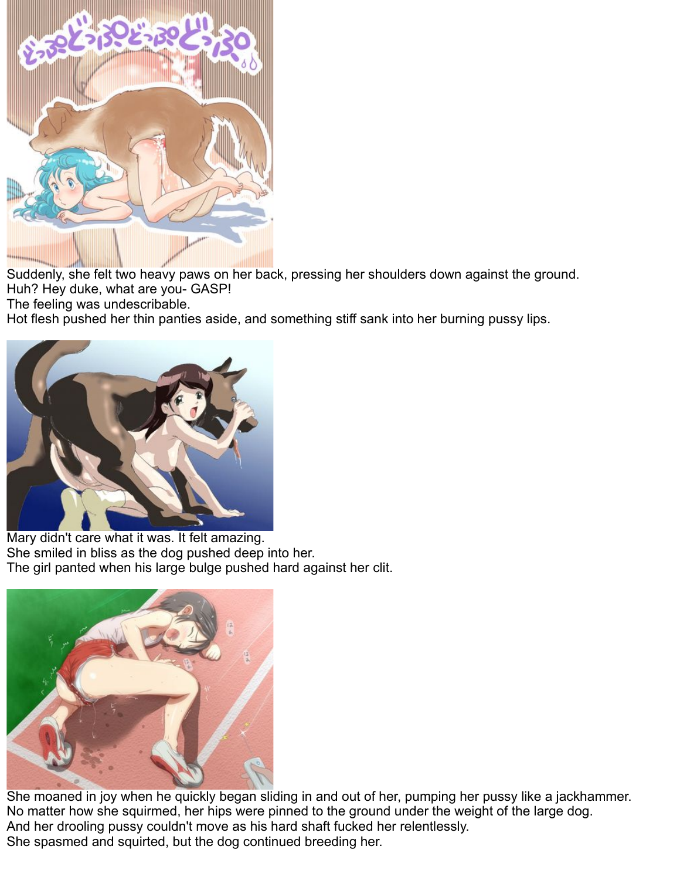

Suddenly, she felt two heavy paws on her back, pressing her shoulders down against the ground. Huh? Hey duke, what are you- GASP!

The feeling was undescribable.

Hot flesh pushed her thin panties aside, and something stiff sank into her burning pussy lips.



Mary didn't care what it was. It felt amazing. She smiled in bliss as the dog pushed deep into her. The girl panted when his large bulge pushed hard against her clit.



She moaned in joy when he quickly began sliding in and out of her, pumping her pussy like a jackhammer. No matter how she squirmed, her hips were pinned to the ground under the weight of the large dog. And her drooling pussy couldn't move as his hard shaft fucked her relentlessly. She spasmed and squirted, but the dog continued breeding her.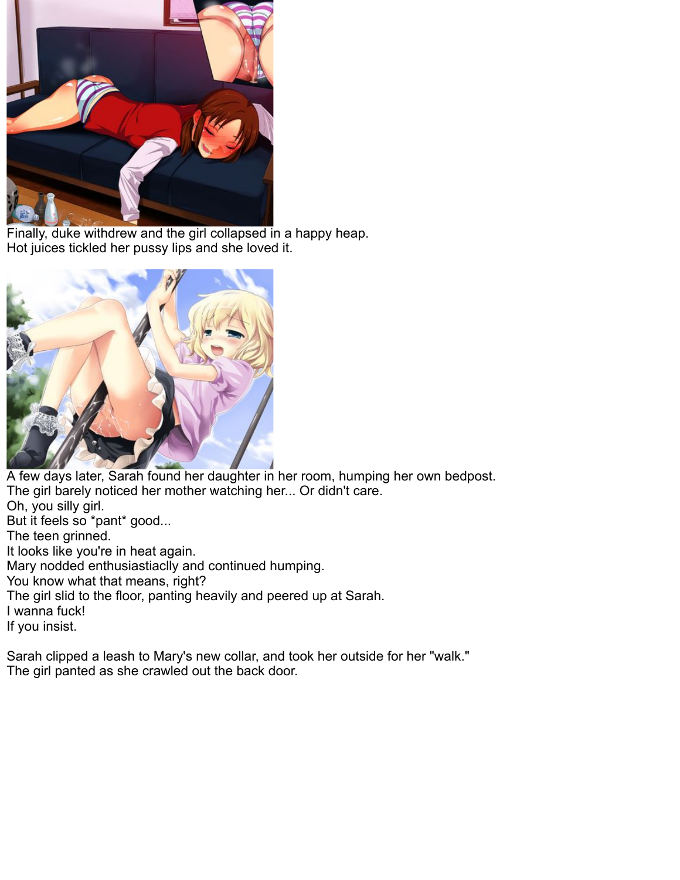

Finally, duke withdrew and the girl collapsed in a happy heap. Hot juices tickled her pussy lips and she loved it.



A few days later, Sarah found her daughter in her room, humping her own bedpost. The girl barely noticed her mother watching her... Or didn't care. Oh, you silly girl. But it feels so \*pant\* good... The teen grinned. It looks like you're in heat again. Mary nodded enthusiastiaclly and continued humping. You know what that means, right? The girl slid to the floor, panting heavily and peered up at Sarah. I wanna fuck! If you insist.

Sarah clipped a leash to Mary's new collar, and took her outside for her "walk." The girl panted as she crawled out the back door.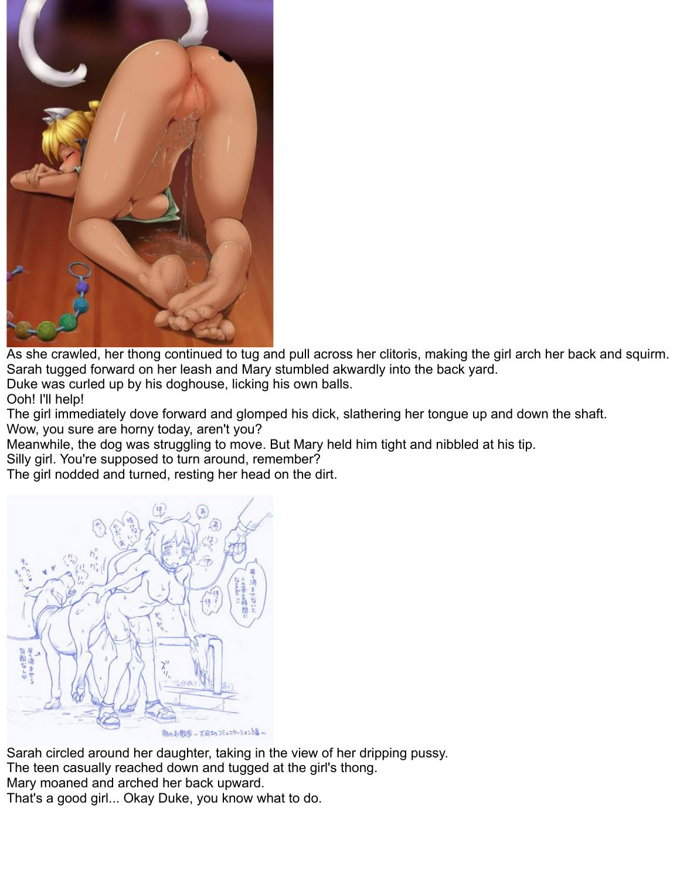

As she crawled, her thong continued to tug and pull across her clitoris, making the girl arch her back and squirm. Sarah tugged forward on her leash and Mary stumbled akwardly into the back yard.

Duke was curled up by his doghouse, licking his own balls.

Ooh! I'll help!

The girl immediately dove forward and glomped his dick, slathering her tongue up and down the shaft. Wow, you sure are horny today, aren't you?

Meanwhile, the dog was struggling to move. But Mary held him tight and nibbled at his tip.

Silly girl. You're supposed to turn around, remember?

The girl nodded and turned, resting her head on the dirt.



Sarah circled around her daughter, taking in the view of her dripping pussy. The teen casually reached down and tugged at the girl's thong. Mary moaned and arched her back upward.

That's a good girl... Okay Duke, you know what to do.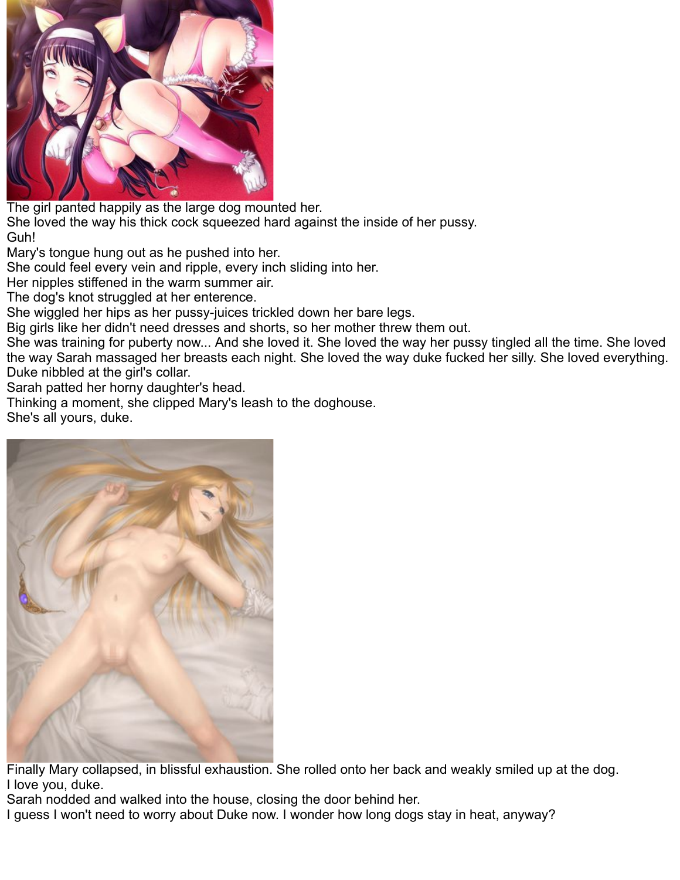

The girl panted happily as the large dog mounted her.

She loved the way his thick cock squeezed hard against the inside of her pussy. Guh!

Mary's tongue hung out as he pushed into her.

She could feel every vein and ripple, every inch sliding into her.

Her nipples stiffened in the warm summer air.

The dog's knot struggled at her enterence.

She wiggled her hips as her pussy-juices trickled down her bare legs.

Big girls like her didn't need dresses and shorts, so her mother threw them out.

She was training for puberty now... And she loved it. She loved the way her pussy tingled all the time. She loved the way Sarah massaged her breasts each night. She loved the way duke fucked her silly. She loved everything. Duke nibbled at the girl's collar.

Sarah patted her horny daughter's head.

Thinking a moment, she clipped Mary's leash to the doghouse. She's all yours, duke.



Finally Mary collapsed, in blissful exhaustion. She rolled onto her back and weakly smiled up at the dog. I love you, duke.

Sarah nodded and walked into the house, closing the door behind her.

I guess I won't need to worry about Duke now. I wonder how long dogs stay in heat, anyway?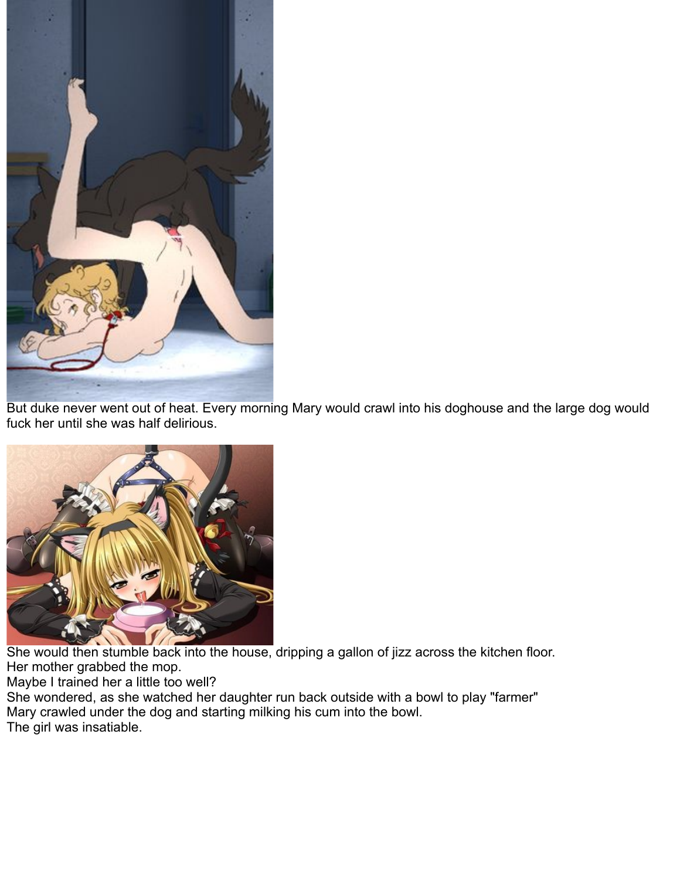

But duke never went out of heat. Every morning Mary would crawl into his doghouse and the large dog would fuck her until she was half delirious.



She would then stumble back into the house, dripping a gallon of jizz across the kitchen floor. Her mother grabbed the mop.

Maybe I trained her a little too well?

She wondered, as she watched her daughter run back outside with a bowl to play "farmer" Mary crawled under the dog and starting milking his cum into the bowl. The girl was insatiable.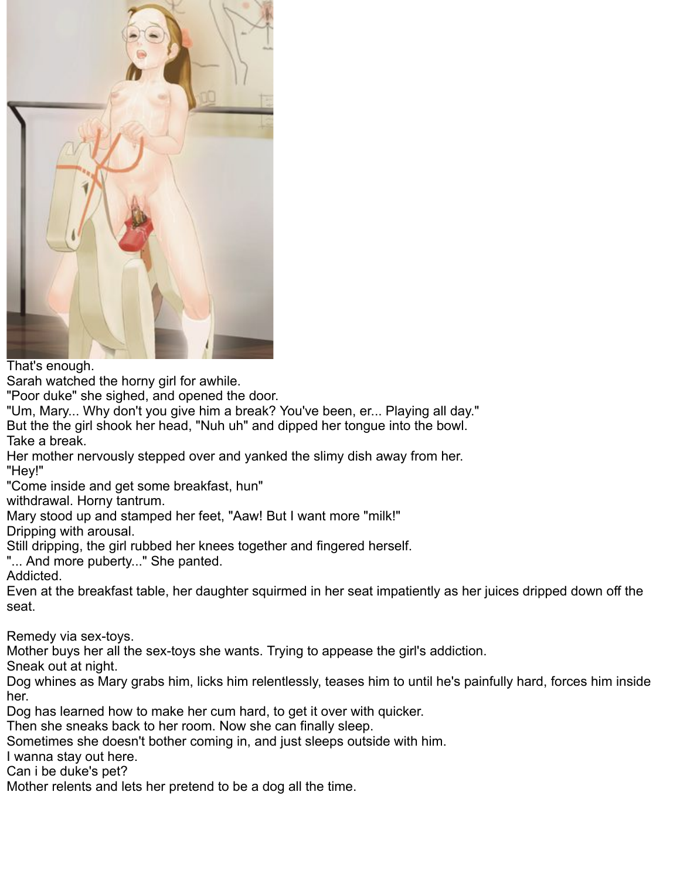

That's enough.

Sarah watched the horny girl for awhile.

"Poor duke" she sighed, and opened the door.

"Um, Mary... Why don't you give him a break? You've been, er... Playing all day."

But the the girl shook her head, "Nuh uh" and dipped her tongue into the bowl. Take a break.

Her mother nervously stepped over and yanked the slimy dish away from her. "Hey!"

"Come inside and get some breakfast, hun"

withdrawal. Horny tantrum.

Mary stood up and stamped her feet, "Aaw! But I want more "milk!"

Dripping with arousal.

Still dripping, the girl rubbed her knees together and fingered herself.

"... And more puberty..." She panted.

Addicted.

Even at the breakfast table, her daughter squirmed in her seat impatiently as her juices dripped down off the seat.

Remedy via sex-toys.

Mother buys her all the sex-toys she wants. Trying to appease the girl's addiction.

Sneak out at night.

Dog whines as Mary grabs him, licks him relentlessly, teases him to until he's painfully hard, forces him inside her.

Dog has learned how to make her cum hard, to get it over with quicker.

Then she sneaks back to her room. Now she can finally sleep.

Sometimes she doesn't bother coming in, and just sleeps outside with him.

I wanna stay out here.

Can i be duke's pet?

Mother relents and lets her pretend to be a dog all the time.